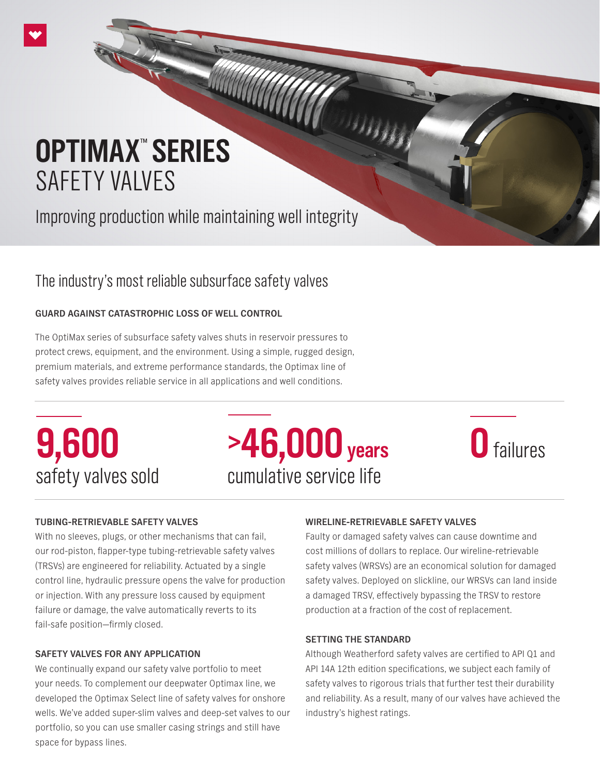## **OPTIMAX**™ **SERIES** SAFETY VALVES

Improving production while maintaining well integrity

## The industry's most reliable subsurface safety valves

## **GUARD AGAINST CATASTROPHIC LOSS OF WELL CONTROL**

The OptiMax series of subsurface safety valves shuts in reservoir pressures to protect crews, equipment, and the environment. Using a simple, rugged design, premium materials, and extreme performance standards, the Optimax line of safety valves provides reliable service in all applications and well conditions.

# safety valves sold

## **9,600 • 46,000 years 0** failures cumulative service life



## **TUBING-RETRIEVABLE SAFETY VALVES**

With no sleeves, plugs, or other mechanisms that can fail, our rod-piston, flapper-type tubing-retrievable safety valves (TRSVs) are engineered for reliability. Actuated by a single control line, hydraulic pressure opens the valve for production or injection. With any pressure loss caused by equipment failure or damage, the valve automatically reverts to its fail-safe position—firmly closed.

## **SAFETY VALVES FOR ANY APPLICATION**

We continually expand our safety valve portfolio to meet your needs. To complement our deepwater Optimax line, we developed the Optimax Select line of safety valves for onshore wells. We've added super-slim valves and deep-set valves to our portfolio, so you can use smaller casing strings and still have space for bypass lines.

## **WIRELINE-RETRIEVABLE SAFETY VALVES**

Faulty or damaged safety valves can cause downtime and cost millions of dollars to replace. Our wireline-retrievable safety valves (WRSVs) are an economical solution for damaged safety valves. Deployed on slickline, our WRSVs can land inside a damaged TRSV, effectively bypassing the TRSV to restore production at a fraction of the cost of replacement.

#### **SETTING THE STANDARD**

Although Weatherford safety valves are certified to API Q1 and API 14A 12th edition specifications, we subject each family of safety valves to rigorous trials that further test their durability and reliability. As a result, many of our valves have achieved the industry's highest ratings.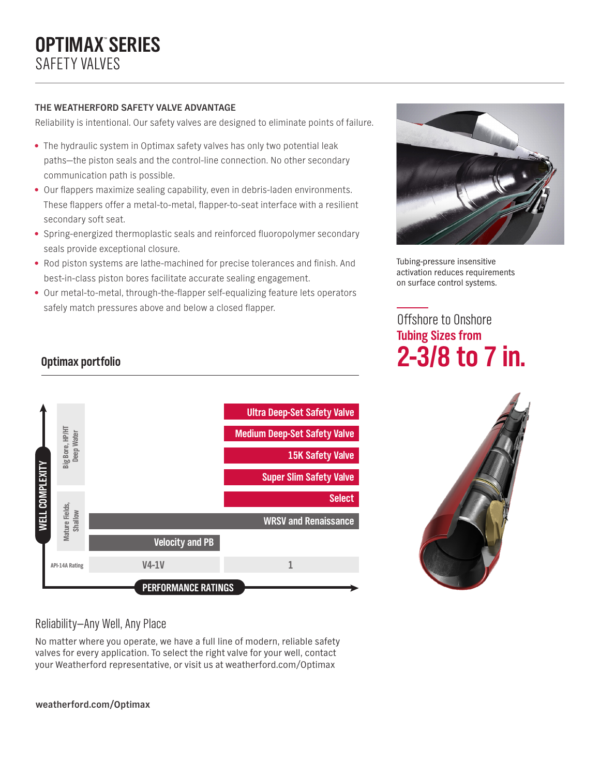#### **THE WEATHERFORD SAFETY VALVE ADVANTAGE**

Reliability is intentional. Our safety valves are designed to eliminate points of failure.

- The hydraulic system in Optimax safety valves has only two potential leak paths—the piston seals and the control-line connection. No other secondary communication path is possible.
- Our flappers maximize sealing capability, even in debris-laden environments. These flappers offer a metal-to-metal, flapper-to-seat interface with a resilient secondary soft seat.
- Spring-energized thermoplastic seals and reinforced fluoropolymer secondary seals provide exceptional closure.
- Rod piston systems are lathe-machined for precise tolerances and finish. And best-in-class piston bores facilitate accurate sealing engagement.
- Our metal-to-metal, through-the-flapper self-equalizing feature lets operators safely match pressures above and below a closed flapper.



Tubing-pressure insensitive activation reduces requirements on surface control systems.

## Offshore to Onshore **Tubing Sizes from 2-3/8 to 7 in.**



## **Optimax portfolio**



## Reliability—Any Well, Any Place

No matter where you operate, we have a full line of modern, reliable safety valves for every application. To select the right valve for your well, contact your Weatherford representative, or visit us at weatherford.com/Optimax

#### **weatherford.com/Optimax**